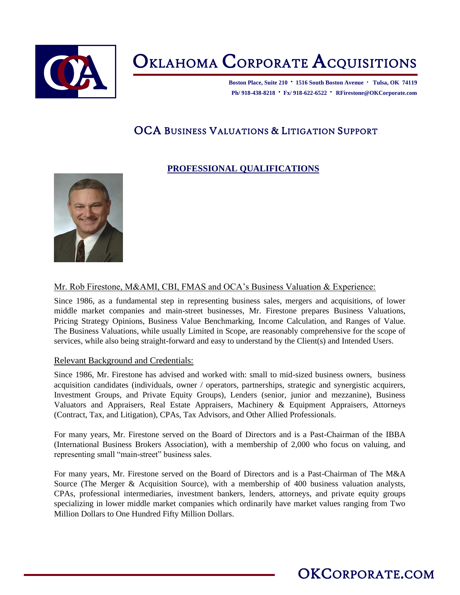

# OKLAHOMA CORPORATE ACQUISITIONS

**Boston Place, Suite 210 · 1516 South Boston Avenue · Tulsa, OK 74119 Ph/ 918-438-8218 · Fx/ 918-622-6522 · RFirestone@OKCorporate.com**

### OCA BUSINESS VALUATIONS & LITIGATION SUPPORT

### **PROFESSIONAL QUALIFICATIONS**



Mr. Rob Firestone, M&AMI, CBI, FMAS and OCA's Business Valuation & Experience:

Since 1986, as a fundamental step in representing business sales, mergers and acquisitions, of lower middle market companies and main-street businesses, Mr. Firestone prepares Business Valuations, Pricing Strategy Opinions, Business Value Benchmarking, Income Calculation, and Ranges of Value. The Business Valuations, while usually Limited in Scope, are reasonably comprehensive for the scope of services, while also being straight-forward and easy to understand by the Client(s) and Intended Users.

#### Relevant Background and Credentials:

Since 1986, Mr. Firestone has advised and worked with: small to mid-sized business owners, business acquisition candidates (individuals, owner / operators, partnerships, strategic and synergistic acquirers, Investment Groups, and Private Equity Groups), Lenders (senior, junior and mezzanine), Business Valuators and Appraisers, Real Estate Appraisers, Machinery & Equipment Appraisers, Attorneys (Contract, Tax, and Litigation), CPAs, Tax Advisors, and Other Allied Professionals.

For many years, Mr. Firestone served on the Board of Directors and is a Past-Chairman of the IBBA (International Business Brokers Association), with a membership of 2,000 who focus on valuing, and representing small "main-street" business sales.

For many years, Mr. Firestone served on the Board of Directors and is a Past-Chairman of The M&A Source (The Merger & Acquisition Source), with a membership of 400 business valuation analysts, CPAs, professional intermediaries, investment bankers, lenders, attorneys, and private equity groups specializing in lower middle market companies which ordinarily have market values ranging from Two Million Dollars to One Hundred Fifty Million Dollars.

### OKCORPORATE.COM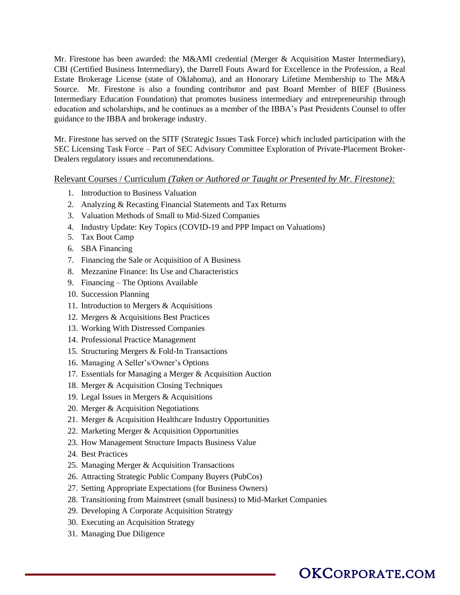Mr. Firestone has been awarded: the M&AMI credential (Merger & Acquisition Master Intermediary), CBI (Certified Business Intermediary), the Darrell Fouts Award for Excellence in the Profession, a Real Estate Brokerage License (state of Oklahoma), and an Honorary Lifetime Membership to The M&A Source. Mr. Firestone is also a founding contributor and past Board Member of BIEF (Business Intermediary Education Foundation) that promotes business intermediary and entrepreneurship through education and scholarships, and he continues as a member of the IBBA's Past Presidents Counsel to offer guidance to the IBBA and brokerage industry.

Mr. Firestone has served on the SITF (Strategic Issues Task Force) which included participation with the SEC Licensing Task Force – Part of SEC Advisory Committee Exploration of Private-Placement Broker-Dealers regulatory issues and recommendations.

Relevant Courses / Curriculum *(Taken or Authored or Taught or Presented by Mr. Firestone):*

- 1. Introduction to Business Valuation
- 2. Analyzing & Recasting Financial Statements and Tax Returns
- 3. Valuation Methods of Small to Mid-Sized Companies
- 4. Industry Update: Key Topics (COVID-19 and PPP Impact on Valuations)
- 5. Tax Boot Camp
- 6. SBA Financing
- 7. Financing the Sale or Acquisition of A Business
- 8. Mezzanine Finance: Its Use and Characteristics
- 9. Financing The Options Available
- 10. Succession Planning
- 11. Introduction to Mergers & Acquisitions
- 12. Mergers & Acquisitions Best Practices
- 13. Working With Distressed Companies
- 14. Professional Practice Management
- 15. Structuring Mergers & Fold-In Transactions
- 16. Managing A Seller's/Owner's Options
- 17. Essentials for Managing a Merger & Acquisition Auction
- 18. Merger & Acquisition Closing Techniques
- 19. Legal Issues in Mergers & Acquisitions
- 20. Merger & Acquisition Negotiations
- 21. Merger & Acquisition Healthcare Industry Opportunities
- 22. Marketing Merger & Acquisition Opportunities
- 23. How Management Structure Impacts Business Value
- 24. Best Practices
- 25. Managing Merger & Acquisition Transactions
- 26. Attracting Strategic Public Company Buyers (PubCos)
- 27. Setting Appropriate Expectations (for Business Owners)
- 28. Transitioning from Mainstreet (small business) to Mid-Market Companies
- 29. Developing A Corporate Acquisition Strategy
- 30. Executing an Acquisition Strategy
- 31. Managing Due Diligence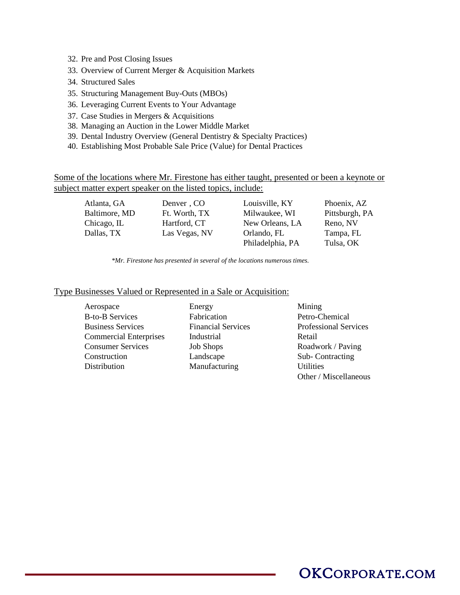- 32. Pre and Post Closing Issues
- 33. Overview of Current Merger & Acquisition Markets
- 34. Structured Sales
- 35. Structuring Management Buy-Outs (MBOs)
- 36. Leveraging Current Events to Your Advantage
- 37. Case Studies in Mergers & Acquisitions
- 38. Managing an Auction in the Lower Middle Market
- 39. Dental Industry Overview (General Dentistry & Specialty Practices)
- 40. Establishing Most Probable Sale Price (Value) for Dental Practices

Some of the locations where Mr. Firestone has either taught, presented or been a keynote or subject matter expert speaker on the listed topics, include:

| Atlanta, GA   | Denver, CO    | Louisville, KY   | Phoenix, AZ    |
|---------------|---------------|------------------|----------------|
| Baltimore, MD | Ft. Worth, TX | Milwaukee, WI    | Pittsburgh, PA |
| Chicago, IL   | Hartford, CT  | New Orleans, LA  | Reno, NV       |
| Dallas, TX    | Las Vegas, NV | Orlando, FL      | Tampa, FL      |
|               |               | Philadelphia, PA | Tulsa, OK      |

 *\*Mr. Firestone has presented in several of the locations numerous times.*

#### Type Businesses Valued or Represented in a Sale or Acquisition:

Aerospace Energy Mining B-to-B Services Fabrication Petro-Chemical Business Services Financial Services Professional Services Commercial Enterprises Industrial Retail Consumer Services Job Shops Roadwork / Paving Construction Landscape Sub- Contracting Distribution Manufacturing Utilities

Other / Miscellaneous